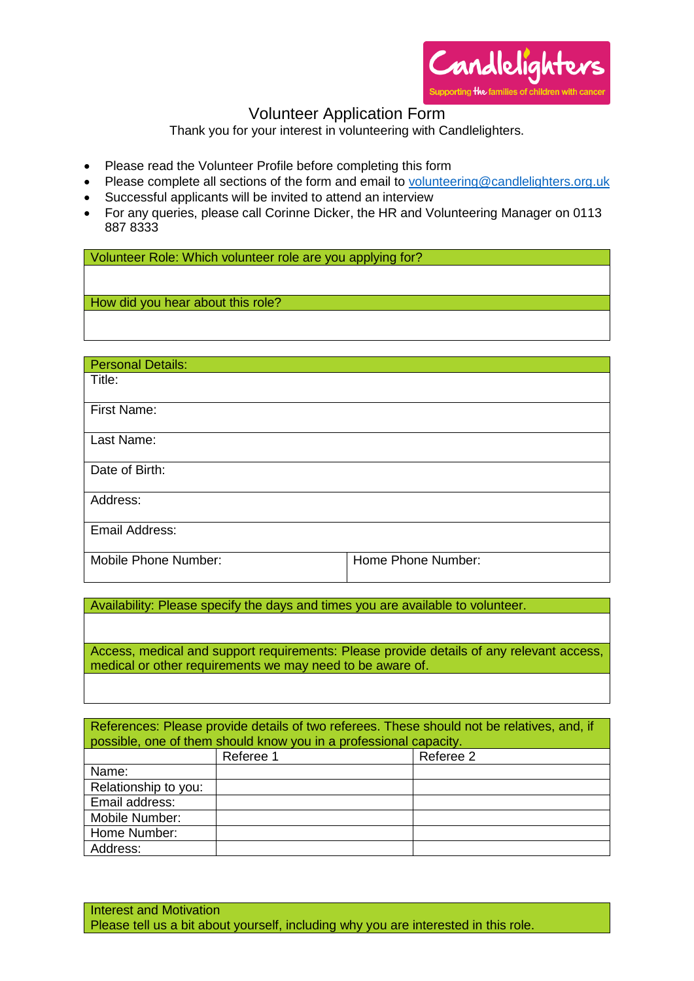

## Volunteer Application Form

Thank you for your interest in volunteering with Candlelighters.

- Please read the Volunteer Profile before completing this form
- Please complete all sections of the form and email to [volunteering@candlelighters.org.](mailto:volunteering@candlelighters.org)uk
- Successful applicants will be invited to attend an interview
- For any queries, please call Corinne Dicker, the HR and Volunteering Manager on 0113 887 8333

Volunteer Role: Which volunteer role are you applying for?

How did you hear about this role?

| <b>Personal Details:</b> |                    |
|--------------------------|--------------------|
| Title:                   |                    |
|                          |                    |
| First Name:              |                    |
|                          |                    |
| Last Name:               |                    |
|                          |                    |
| Date of Birth:           |                    |
|                          |                    |
| Address:                 |                    |
|                          |                    |
| Email Address:           |                    |
|                          |                    |
| Mobile Phone Number:     | Home Phone Number: |
|                          |                    |

Availability: Please specify the days and times you are available to volunteer.

Access, medical and support requirements: Please provide details of any relevant access, medical or other requirements we may need to be aware of.

| References: Please provide details of two referees. These should not be relatives, and, if<br>possible, one of them should know you in a professional capacity. |           |           |  |
|-----------------------------------------------------------------------------------------------------------------------------------------------------------------|-----------|-----------|--|
|                                                                                                                                                                 | Referee 1 | Referee 2 |  |
| Name:                                                                                                                                                           |           |           |  |
| Relationship to you:                                                                                                                                            |           |           |  |
| Email address:                                                                                                                                                  |           |           |  |
| Mobile Number:                                                                                                                                                  |           |           |  |
| Home Number:                                                                                                                                                    |           |           |  |
| Address:                                                                                                                                                        |           |           |  |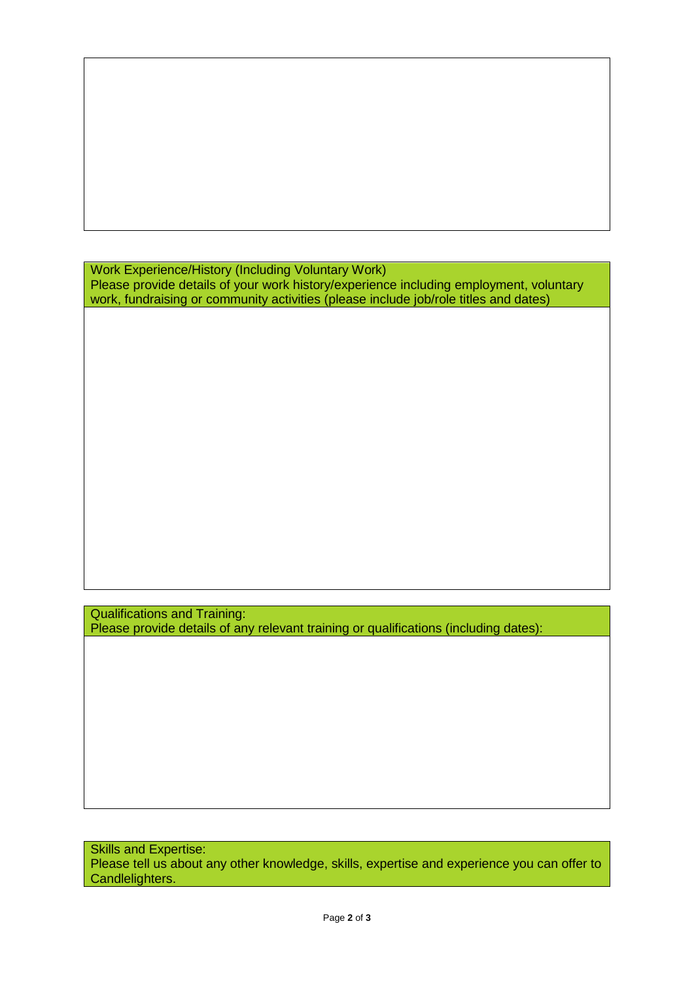Work Experience/History (Including Voluntary Work) Please provide details of your work history/experience including employment, voluntary work, fundraising or community activities (please include job/role titles and dates)

Qualifications and Training: Please provide details of any relevant training or qualifications (including dates):

Skills and Expertise: Please tell us about any other knowledge, skills, expertise and experience you can offer to Candlelighters.